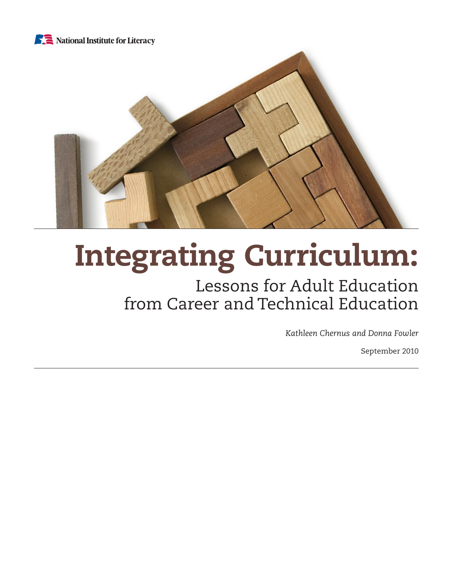



# Integrating Curriculum:

# Lessons for Adult Education from Career and Technical Education

*Kathleen Chernus and Donna Fowler*

September 2010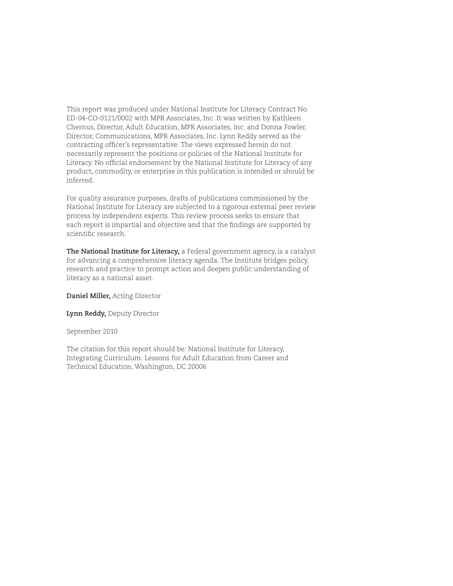This report was produced under National Institute for Literacy Contract No. ED-04-CO-0121/0002 with MPR Associates, Inc. It was written by Kathleen Chernus, Director, Adult Education, MPR Associates, Inc. and Donna Fowler, Director, Communications, MPR Associates, Inc. Lynn Reddy served as the contracting officer's representative. The views expressed herein do not necessarily represent the positions or policies of the National Institute for Literacy. No official endorsement by the National Institute for Literacy of any product, commodity, or enterprise in this publication is intended or should be inferred.

For quality assurance purposes, drafts of publications commissioned by the National Institute for Literacy are subjected to a rigorous external peer review process by independent experts. This review process seeks to ensure that each report is impartial and objective and that the findings are supported by scientific research.

**The National Institute for Literacy,** a Federal government agency, is a catalyst for advancing a comprehensive literacy agenda. The Institute bridges policy, research and practice to prompt action and deepen public understanding of literacy as a national asset.

**Daniel Miller,** Acting Director

**Lynn Reddy,** Deputy Director

September 2010

The citation for this report should be: National Institute for Literacy, Integrating Curriculum: Lessons for Adult Education from Career and Technical Education, Washington, DC 20006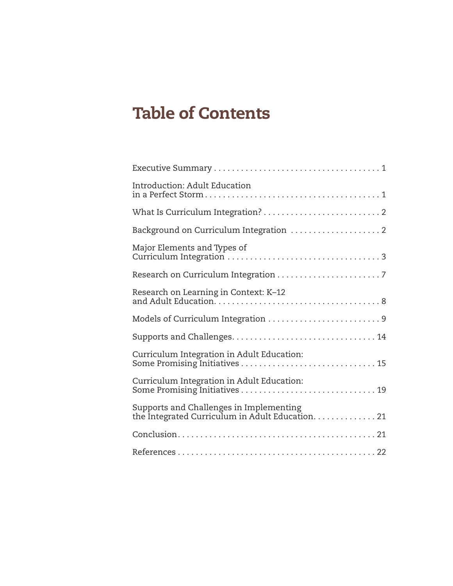# Table of Contents

| Introduction: Adult Education                                                               |
|---------------------------------------------------------------------------------------------|
|                                                                                             |
|                                                                                             |
| Major Elements and Types of                                                                 |
|                                                                                             |
| Research on Learning in Context: K-12                                                       |
| Models of Curriculum Integration 9                                                          |
|                                                                                             |
| Curriculum Integration in Adult Education:                                                  |
| Curriculum Integration in Adult Education:                                                  |
| Supports and Challenges in Implementing<br>the Integrated Curriculum in Adult Education. 21 |
|                                                                                             |
|                                                                                             |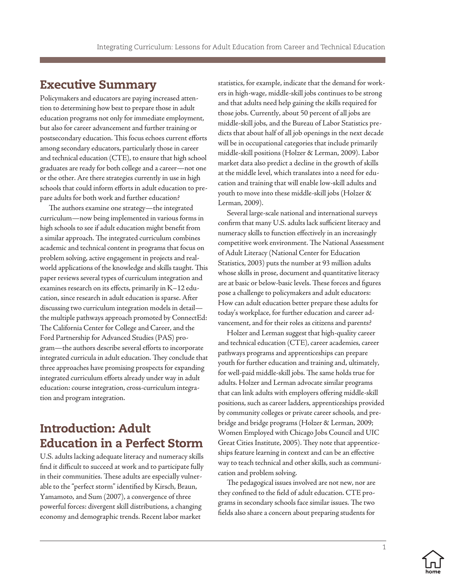# <span id="page-3-0"></span>Executive Summary

Policymakers and educators are paying increased attention to determining how best to prepare those in adult education programs not only for immediate employment, but also for career advancement and further training or postsecondary education. This focus echoes current efforts among secondary educators, particularly those in career and technical education (CTE), to ensure that high school graduates are ready for both college and a career—not one or the other. Are there strategies currently in use in high schools that could inform efforts in adult education to prepare adults for both work and further education?

The authors examine one strategy—the integrated curriculum—now being implemented in various forms in high schools to see if adult education might benefit from a similar approach. The integrated curriculum combines academic and technical content in programs that focus on problem solving, active engagement in projects and realworld applications of the knowledge and skills taught. This paper reviews several types of curriculum integration and examines research on its effects, primarily in K–12 education, since research in adult education is sparse. After discussing two curriculum integration models in detail the multiple pathways approach promoted by ConnectEd: The California Center for College and Career, and the Ford Partnership for Advanced Studies (PAS) program—the authors describe several efforts to incorporate integrated curricula in adult education. They conclude that three approaches have promising prospects for expanding integrated curriculum efforts already under way in adult education: course integration, cross-curriculum integration and program integration.

# Introduction: Adult Education in a Perfect Storm

U.S. adults lacking adequate literacy and numeracy skills find it difficult to succeed at work and to participate fully in their communities. These adults are especially vulnerable to the "perfect storm" identified by Kirsch, Braun, Yamamoto, and Sum (2007), a convergence of three powerful forces: divergent skill distributions, a changing economy and demographic trends. Recent labor market

statistics, for example, indicate that the demand for workers in high-wage, middle-skill jobs continues to be strong and that adults need help gaining the skills required for those jobs. Currently, about 50 percent of all jobs are middle-skill jobs, and the Bureau of Labor Statistics predicts that about half of all job openings in the next decade will be in occupational categories that include primarily middle-skill positions (Holzer & Lerman, 2009). Labor market data also predict a decline in the growth of skills at the middle level, which translates into a need for education and training that will enable low-skill adults and youth to move into these middle-skill jobs (Holzer & Lerman, 2009).

Several large-scale national and international surveys confirm that many U.S. adults lack sufficient literacy and numeracy skills to function effectively in an increasingly competitive work environment. The National Assessment of Adult Literacy (National Center for Education Statistics, 2003) puts the number at 93 million adults whose skills in prose, document and quantitative literacy are at basic or below-basic levels. These forces and figures pose a challenge to policymakers and adult educators: How can adult education better prepare these adults for today's workplace, for further education and career advancement, and for their roles as citizens and parents?

Holzer and Lerman suggest that high-quality career and technical education (CTE), career academies, career pathways programs and apprenticeships can prepare youth for further education and training and, ultimately, for well-paid middle-skill jobs. The same holds true for adults. Holzer and Lerman advocate similar programs that can link adults with employers offering middle-skill positions, such as career ladders, apprenticeships provided by community colleges or private career schools, and prebridge and bridge programs (Holzer & Lerman, 2009; Women Employed with Chicago Jobs Council and UIC Great Cities Institute, 2005). They note that apprenticeships feature learning in context and can be an effective way to teach technical and other skills, such as communication and problem solving.

The pedagogical issues involved are not new, nor are they confined to the field of adult education. CTE programs in secondary schools face similar issues. The two fields also share a concern about preparing students for

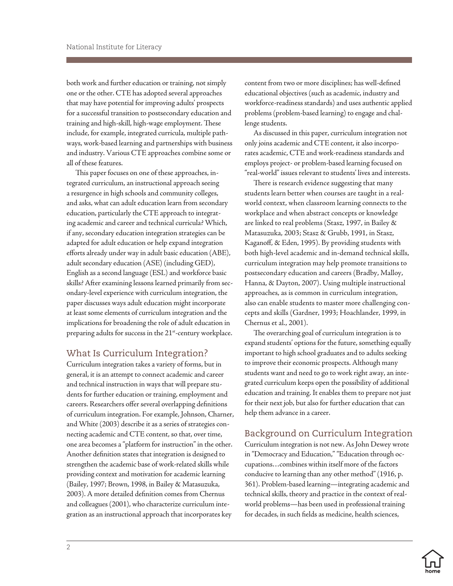<span id="page-4-0"></span>both work and further education or training, not simply one or the other. CTE has adopted several approaches that may have potential for improving adults' prospects for a successful transition to postsecondary education and training and high-skill, high-wage employment. These include, for example, integrated curricula, multiple pathways, work-based learning and partnerships with business and industry. Various CTE approaches combine some or all of these features.

This paper focuses on one of these approaches, integrated curriculum, an instructional approach seeing a resurgence in high schools and community colleges, and asks, what can adult education learn from secondary education, particularly the CTE approach to integrating academic and career and technical curricula? Which, if any, secondary education integration strategies can be adapted for adult education or help expand integration efforts already under way in adult basic education (ABE), adult secondary education (ASE) (including GED), English as a second language (ESL) and workforce basic skills? After examining lessons learned primarily from secondary-level experience with curriculum integration, the paper discusses ways adult education might incorporate at least some elements of curriculum integration and the implications for broadening the role of adult education in preparing adults for success in the 21<sup>st</sup>-century workplace.

# What Is Curriculum Integration?

Curriculum integration takes a variety of forms, but in general, it is an attempt to connect academic and career and technical instruction in ways that will prepare students for further education or training, employment and careers. Researchers offer several overlapping definitions of curriculum integration. For example, Johnson, Charner, and White (2003) describe it as a series of strategies connecting academic and CTE content, so that, over time, one area becomes a "platform for instruction" in the other. Another definition states that integration is designed to strengthen the academic base of work-related skills while providing context and motivation for academic learning (Bailey, 1997; Brown, 1998, in Bailey & Matasuzuka, 2003). A more detailed definition comes from Chernus and colleagues (2001), who characterize curriculum integration as an instructional approach that incorporates key

content from two or more disciplines; has well-defined educational objectives (such as academic, industry and workforce-readiness standards) and uses authentic applied problems (problem-based learning) to engage and challenge students.

As discussed in this paper, curriculum integration not only joins academic and CTE content, it also incorporates academic, CTE and work-readiness standards and employs project- or problem-based learning focused on "real-world" issues relevant to students' lives and interests.

There is research evidence suggesting that many students learn better when courses are taught in a realworld context, when classroom learning connects to the workplace and when abstract concepts or knowledge are linked to real problems (Stasz, 1997, in Bailey & Matasuzuka, 2003; Stasz & Grubb, 1991, in Stasz, Kaganoff, & Eden, 1995). By providing students with both high-level academic and in-demand technical skills, curriculum integration may help promote transitions to postsecondary education and careers (Bradby, Malloy, Hanna, & Dayton, 2007). Using multiple instructional approaches, as is common in curriculum integration, also can enable students to master more challenging concepts and skills (Gardner, 1993; Hoachlander, 1999, in Chernus et al., 2001).

The overarching goal of curriculum integration is to expand students' options for the future, something equally important to high school graduates and to adults seeking to improve their economic prospects. Although many students want and need to go to work right away, an integrated curriculum keeps open the possibility of additional education and training. It enables them to prepare not just for their next job, but also for further education that can help them advance in a career.

# Background on Curriculum Integration

Curriculum integration is not new. As John Dewey wrote in "Democracy and Education," "Education through occupations…combines within itself more of the factors conducive to learning than any other method" (1916, p. 361). Problem-based learning—integrating academic and technical skills, theory and practice in the context of realworld problems—has been used in professional training for decades, in such fields as medicine, health sciences,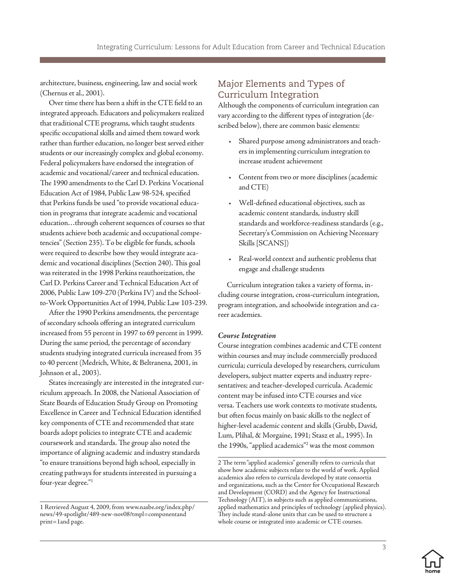<span id="page-5-0"></span>architecture, business, engineering, law and social work (Chernus et al., 2001).

Over time there has been a shift in the CTE field to an integrated approach. Educators and policymakers realized that traditional CTE programs, which taught students specific occupational skills and aimed them toward work rather than further education, no longer best served either students or our increasingly complex and global economy. Federal policymakers have endorsed the integration of academic and vocational/career and technical education. The 1990 amendments to the Carl D. Perkins Vocational Education Act of 1984, Public Law 98-524, specified that Perkins funds be used "to provide vocational education in programs that integrate academic and vocational education…through coherent sequences of courses so that students achieve both academic and occupational competencies" (Section 235). To be eligible for funds, schools were required to describe how they would integrate academic and vocational disciplines (Section 240). This goal was reiterated in the 1998 Perkins reauthorization, the Carl D. Perkins Career and Technical Education Act of 2006, Public Law 109-270 (Perkins IV) and the Schoolto-Work Opportunities Act of 1994, Public Law 103-239.

After the 1990 Perkins amendments, the percentage of secondary schools offering an integrated curriculum increased from 55 percent in 1997 to 69 percent in 1999. During the same period, the percentage of secondary students studying integrated curricula increased from 35 to 40 percent (Medrich, White, & Beltranena, 2001, in Johnson et al., 2003).

States increasingly are interested in the integrated curriculum approach. In 2008, the National Association of State Boards of Education Study Group on Promoting Excellence in Career and Technical Education identified key components of CTE and recommended that state boards adopt policies to integrate CTE and academic coursework and standards. The group also noted the importance of aligning academic and industry standards "to ensure transitions beyond high school, especially in creating pathways for students interested in pursuing a four-year degree."1

### Major Elements and Types of Curriculum Integration

Although the components of curriculum integration can vary according to the different types of integration (described below), there are common basic elements:

- Shared purpose among administrators and teachers in implementing curriculum integration to increase student achievement
- Content from two or more disciplines (academic and CTE)
- Well-defined educational objectives, such as academic content standards, industry skill standards and workforce-readiness standards (e.g., Secretary's Commission on Achieving Necessary Skills [SCANS])
- Real-world context and authentic problems that engage and challenge students

Curriculum integration takes a variety of forms, including course integration, cross-curriculum integration, program integration, and schoolwide integration and career academies.

#### *Course Integration*

Course integration combines academic and CTE content within courses and may include commercially produced curricula; curricula developed by researchers, curriculum developers, subject matter experts and industry representatives; and teacher-developed curricula. Academic content may be infused into CTE courses and vice versa. Teachers use work contexts to motivate students, but often focus mainly on basic skills to the neglect of higher-level academic content and skills (Grubb, David, Lum, Plihal, & Morgaine, 1991; Stasz et al., 1995). In the 1990s, "applied academics"2 was the most common

<sup>2</sup> The term "applied academics" generally refers to curricula that show how academic subjects relate to the world of work. Applied academics also refers to curricula developed by state consortia and organizations, such as the Center for Occupational Research and Development (CORD) and the Agency for Instructional Technology (AIT), in subjects such as applied communications, applied mathematics and principles of technology (applied physics). They include stand-alone units that can be used to structure a whole course or integrated into academic or CTE courses.



<sup>1</sup> Retrieved August 4, 2009, from www.nasbe.org/index.php/ news/49-spotlight/489-new-nov08?tmpl=componentand print=1and page.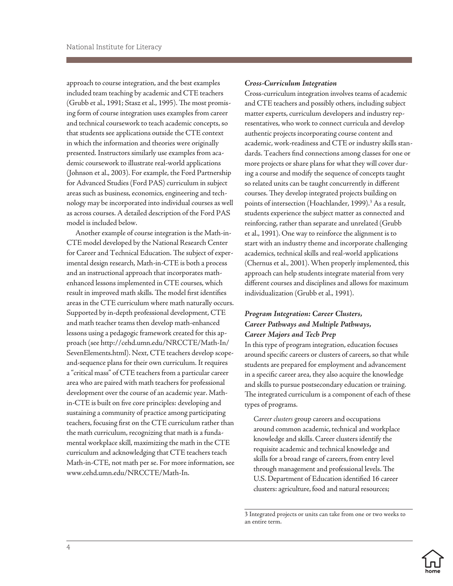approach to course integration, and the best examples included team teaching by academic and CTE teachers (Grubb et al., 1991; Stasz et al., 1995). The most promising form of course integration uses examples from career and technical coursework to teach academic concepts, so that students see applications outside the CTE context in which the information and theories were originally presented. Instructors similarly use examples from academic coursework to illustrate real-world applications (Johnson et al., 2003). For example, the Ford Partnership for Advanced Studies (Ford PAS) curriculum in subject areas such as business, economics, engineering and technology may be incorporated into individual courses as well as across courses. A detailed description of the Ford PAS model is included below.

Another example of course integration is the Math-in-CTE model developed by the National Research Center for Career and Technical Education. The subject of experimental design research, Math-in-CTE is both a process and an instructional approach that incorporates mathenhanced lessons implemented in CTE courses, which result in improved math skills. The model first identifies areas in the CTE curriculum where math naturally occurs. Supported by in-depth professional development, CTE and math teacher teams then develop math-enhanced lessons using a pedagogic framework created for this approach (see http://cehd.umn.edu/NRCCTE/Math-In/ SevenElements.html). Next, CTE teachers develop scopeand-sequence plans for their own curriculum. It requires a "critical mass" of CTE teachers from a particular career area who are paired with math teachers for professional development over the course of an academic year. Mathin-CTE is built on five core principles: developing and sustaining a community of practice among participating teachers, focusing first on the CTE curriculum rather than the math curriculum, recognizing that math is a fundamental workplace skill, maximizing the math in the CTE curriculum and acknowledging that CTE teachers teach Math-in-CTE, not math per se. For more information, see www.cehd.umn.edu/NRCCTE/Math-In.

#### *Cross-Curriculum Integration*

Cross-curriculum integration involves teams of academic and CTE teachers and possibly others, including subject matter experts, curriculum developers and industry representatives, who work to connect curricula and develop authentic projects incorporating course content and academic, work-readiness and CTE or industry skills standards. Teachers find connections among classes for one or more projects or share plans for what they will cover during a course and modify the sequence of concepts taught so related units can be taught concurrently in different courses. They develop integrated projects building on points of intersection (Hoachlander, 1999).<sup>3</sup> As a result, students experience the subject matter as connected and reinforcing, rather than separate and unrelated (Grubb et al., 1991). One way to reinforce the alignment is to start with an industry theme and incorporate challenging academics, technical skills and real-world applications (Chernus et al., 2001). When properly implemented, this approach can help students integrate material from very different courses and disciplines and allows for maximum individualization (Grubb et al., 1991).

#### *Program Integration: Career Clusters, Career Pathways and Multiple Pathways, Career Majors and Tech Prep*

In this type of program integration, education focuses around specific careers or clusters of careers, so that while students are prepared for employment and advancement in a specific career area, they also acquire the knowledge and skills to pursue postsecondary education or training. The integrated curriculum is a component of each of these types of programs.

*Career clusters* group careers and occupations around common academic, technical and workplace knowledge and skills. Career clusters identify the requisite academic and technical knowledge and skills for a broad range of careers, from entry level through management and professional levels. The U.S. Department of Education identified 16 career clusters: agriculture, food and natural resources;

<sup>3</sup> Integrated projects or units can take from one or two weeks to an entire term.

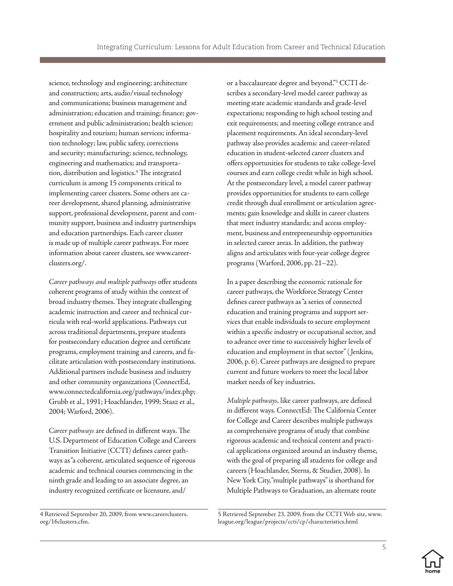science, technology and engineering; architecture and construction; arts, audio/visual technology and communications; business management and administration; education and training; finance; government and public administration; health science; hospitality and tourism; human services; information technology; law, public safety, corrections and security; manufacturing; science, technology, engineering and mathematics; and transportation, distribution and logistics.4 The integrated curriculum is among 15 components critical to implementing career clusters. Some others are career development, shared planning, administrative support, professional development, parent and community support, business and industry partnerships and education partnerships. Each career cluster is made up of multiple career pathways. For more information about career clusters, see www.careerclusters.org/.

*Career pathways and multiple pathways* offer students coherent programs of study within the context of broad industry themes. They integrate challenging academic instruction and career and technical curricula with real-world applications. Pathways cut across traditional departments, prepare students for postsecondary education degree and certificate programs, employment training and careers, and facilitate articulation with postsecondary institutions. Additional partners include business and industry and other community organizations (ConnectEd, www.connectedcalifornia.org/pathways/index.php; Grubb et al., 1991; Hoachlander, 1999; Stasz et al., 2004; Warford, 2006).

*Career pathways* are defined in different ways. The U.S. Department of Education College and Careers Transition Initiative (CCTI) defines career pathways as "a coherent, articulated sequence of rigorous academic and technical courses commencing in the ninth grade and leading to an associate degree, an industry recognized certificate or licensure, and/

4 Retrieved September 20, 2009, from www.careerclusters. org/16clusters.cfm.

or a baccalaureate degree and beyond."5 CCTI describes a secondary-level model career pathway as meeting state academic standards and grade-level expectations; responding to high school testing and exit requirements; and meeting college entrance and placement requirements. An ideal secondary-level pathway also provides academic and career-related education in student-selected career clusters and offers opportunities for students to take college-level courses and earn college credit while in high school. At the postsecondary level, a model career pathway provides opportunities for students to earn college credit through dual enrollment or articulation agreements; gain knowledge and skills in career clusters that meet industry standards; and access employment, business and entrepreneurship opportunities in selected career areas. In addition, the pathway aligns and articulates with four-year college degree programs (Warford, 2006, pp. 21–22).

In a paper describing the economic rationale for career pathways, the Workforce Strategy Center defines career pathways as "a series of connected education and training programs and support services that enable individuals to secure employment within a specific industry or occupational sector, and to advance over time to successively higher levels of education and employment in that sector" ( Jenkins, 2006, p. 6). Career pathways are designed to prepare current and future workers to meet the local labor market needs of key industries.

*Multiple pathways,* like career pathways, are defined in different ways. ConnectEd: The California Center for College and Career describes multiple pathways as comprehensive programs of study that combine rigorous academic and technical content and practical applications organized around an industry theme, with the goal of preparing all students for college and careers (Hoachlander, Sterns, & Studier, 2008). In New York City, "multiple pathways" is shorthand for Multiple Pathways to Graduation, an alternate route

5 Retrieved September 23, 2009, from the CCTI Web site, www. league.org/league/projects/ccti/cp/characteristics.html



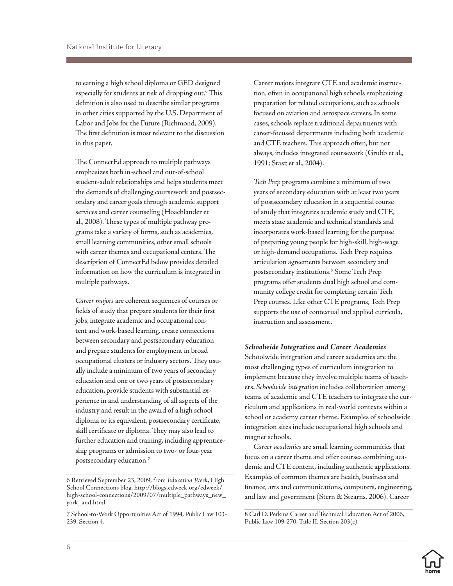to earning a high school diploma or GED designed especially for students at risk of dropping out.<sup>6</sup> This definition is also used to describe similar programs in other cities supported by the U.S. Department of Labor and Jobs for the Future (Richmond, 2009). The first definition is most relevant to the discussion in this paper.

The ConnectEd approach to multiple pathways emphasizes both in-school and out-of-school student-adult relationships and helps students meet the demands of challenging coursework and postsecondary and career goals through academic support services and career counseling (Hoachlander et al., 2008). These types of multiple pathway programs take a variety of forms, such as academies, small learning communities, other small schools with career themes and occupational centers. The description of ConnectEd below provides detailed information on how the curriculum is integrated in multiple pathways.

*Career majors* are coherent sequences of courses or fields of study that prepare students for their first jobs, integrate academic and occupational content and work-based learning, create connections between secondary and postsecondary education and prepare students for employment in broad occupational clusters or industry sectors. They usually include a minimum of two years of secondary education and one or two years of postsecondary education, provide students with substantial experience in and understanding of all aspects of the industry and result in the award of a high school diploma or its equivalent, postsecondary certificate, skill certificate or diploma. They may also lead to further education and training, including apprenticeship programs or admission to two- or four-year postsecondary education.7

Career majors integrate CTE and academic instruction, often in occupational high schools emphasizing preparation for related occupations, such as schools focused on aviation and aerospace careers. In some cases, schools replace traditional departments with career-focused departments including both academic and CTE teachers. This approach often, but not always, includes integrated coursework (Grubb et al., 1991; Stasz et al., 2004).

*Tech Prep* programs combine a minimum of two years of secondary education with at least two years of postsecondary education in a sequential course of study that integrates academic study and CTE, meets state academic and technical standards and incorporates work-based learning for the purpose of preparing young people for high-skill, high-wage or high-demand occupations. Tech Prep requires articulation agreements between secondary and postsecondary institutions.8 Some Tech Prep programs offer students dual high school and community college credit for completing certain Tech Prep courses. Like other CTE programs, Tech Prep supports the use of contextual and applied curricula, instruction and assessment.

#### *Schoolwide Integration and Career Academies*

Schoolwide integration and career academies are the most challenging types of curriculum integration to implement because they involve multiple teams of teachers. *Schoolwide integration* includes collaboration among teams of academic and CTE teachers to integrate the curriculum and applications in real-world contexts within a school or academy career theme. Examples of schoolwide integration sites include occupational high schools and magnet schools.

*Career academies* are small learning communities that focus on a career theme and offer courses combining academic and CTE content, including authentic applications. Examples of common themes are health, business and finance, arts and communications, computers, engineering, and law and government (Stern & Stearns, 2006). Career

<sup>8</sup> Carl D. Perkins Career and Technical Education Act of 2006, Public Law 109-270, Title II, Section 203(c).



<sup>6</sup> Retrieved September 23, 2009, from *Education Week*, High School Connections blog, http://blogs.edweek.org/edweek/ high-school-connections/2009/07/multiple\_pathways\_new\_ york\_and.html.

<sup>7</sup> School-to-Work Opportunities Act of 1994, Public Law 103- 239, Section 4.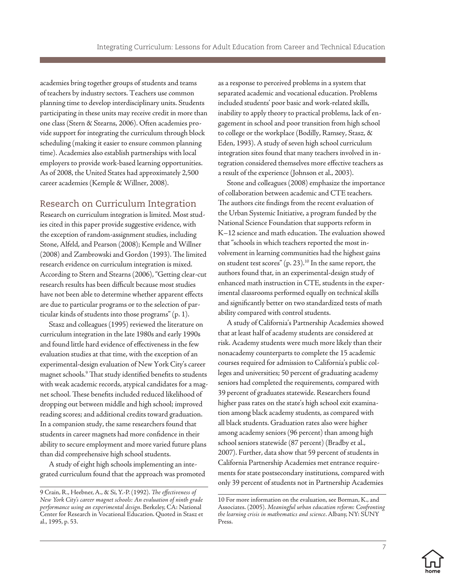<span id="page-9-0"></span>academies bring together groups of students and teams of teachers by industry sectors. Teachers use common planning time to develop interdisciplinary units. Students participating in these units may receive credit in more than one class (Stern & Stearns, 2006). Often academies provide support for integrating the curriculum through block scheduling (making it easier to ensure common planning time). Academies also establish partnerships with local employers to provide work-based learning opportunities. As of 2008, the United States had approximately 2,500 career academies (Kemple & Willner, 2008).

### Research on Curriculum Integration

Research on curriculum integration is limited. Most studies cited in this paper provide suggestive evidence, with the exception of random-assignment studies, including Stone, Alfeld, and Pearson (2008); Kemple and Willner (2008) and Zambrowski and Gordon (1993). The limited research evidence on curriculum integration is mixed. According to Stern and Stearns (2006), "Getting clear-cut research results has been difficult because most studies have not been able to determine whether apparent effects are due to particular programs or to the selection of particular kinds of students into those programs" (p. 1).

Stasz and colleagues (1995) reviewed the literature on curriculum integration in the late 1980s and early 1990s and found little hard evidence of effectiveness in the few evaluation studies at that time, with the exception of an experimental-design evaluation of New York City's career magnet schools.9 That study identified benefits to students with weak academic records, atypical candidates for a magnet school. These benefits included reduced likelihood of dropping out between middle and high school; improved reading scores; and additional credits toward graduation. In a companion study, the same researchers found that students in career magnets had more confidence in their ability to secure employment and more varied future plans than did comprehensive high school students.

A study of eight high schools implementing an integrated curriculum found that the approach was promoted as a response to perceived problems in a system that separated academic and vocational education. Problems included students' poor basic and work-related skills, inability to apply theory to practical problems, lack of engagement in school and poor transition from high school to college or the workplace (Bodilly, Ramsey, Stasz, & Eden, 1993). A study of seven high school curriculum integration sites found that many teachers involved in integration considered themselves more effective teachers as a result of the experience (Johnson et al., 2003).

Stone and colleagues (2008) emphasize the importance of collaboration between academic and CTE teachers. The authors cite findings from the recent evaluation of the Urban Systemic Initiative, a program funded by the National Science Foundation that supports reform in K–12 science and math education. The evaluation showed that "schools in which teachers reported the most involvement in learning communities had the highest gains on student test scores"  $(p, 23)$ .<sup>10</sup> In the same report, the authors found that, in an experimental-design study of enhanced math instruction in CTE, students in the experimental classrooms performed equally on technical skills and significantly better on two standardized tests of math ability compared with control students.

A study of California's Partnership Academies showed that at least half of academy students are considered at risk. Academy students were much more likely than their nonacademy counterparts to complete the 15 academic courses required for admission to California's public colleges and universities; 50 percent of graduating academy seniors had completed the requirements, compared with 39 percent of graduates statewide. Researchers found higher pass rates on the state's high school exit examination among black academy students, as compared with all black students. Graduation rates also were higher among academy seniors (96 percent) than among high school seniors statewide (87 percent) (Bradby et al., 2007). Further, data show that 59 percent of students in California Partnership Academies met entrance requirements for state postsecondary institutions, compared with only 39 percent of students not in Partnership Academies

<sup>10</sup> For more information on the evaluation, see Borman, K., and Associates. (2005). *Meaningful urban education reform: Confronting the learning crisis in mathematics and science*. Albany, NY: SUNY Press.



<sup>9</sup> Crain, R., Heebner, A., & Si, Y.-P. (1992). *The effectiveness of New York City's career magnet schools: An evaluation of ninth grade performance using an experimental design*. Berkeley, CA: National Center for Research in Vocational Education. Quoted in Stasz et al., 1995, p. 53.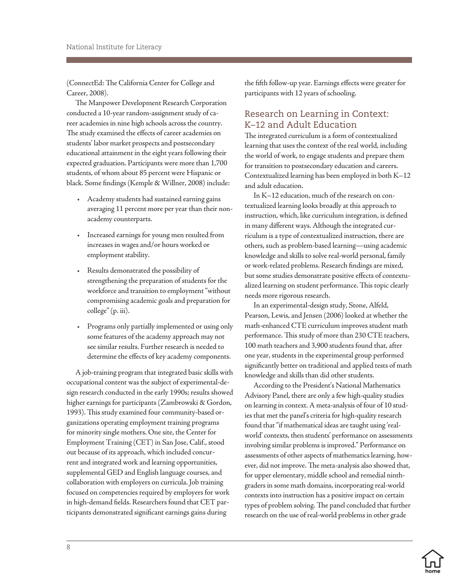<span id="page-10-0"></span>(ConnectEd: The California Center for College and Career, 2008).

The Manpower Development Research Corporation conducted a 10-year random-assignment study of career academies in nine high schools across the country. The study examined the effects of career academies on students' labor market prospects and postsecondary educational attainment in the eight years following their expected graduation. Participants were more than 1,700 students, of whom about 85 percent were Hispanic or black. Some findings (Kemple & Willner, 2008) include:

- • Academy students had sustained earning gains averaging 11 percent more per year than their nonacademy counterparts.
- • Increased earnings for young men resulted from increases in wages and/or hours worked or employment stability.
- • Results demonstrated the possibility of strengthening the preparation of students for the workforce and transition to employment "without compromising academic goals and preparation for college" (p. iii).
- Programs only partially implemented or using only some features of the academy approach may not see similar results. Further research is needed to determine the effects of key academy components.

A job-training program that integrated basic skills with occupational content was the subject of experimental-design research conducted in the early 1990s; results showed higher earnings for participants (Zambrowski & Gordon, 1993). This study examined four community-based organizations operating employment training programs for minority single mothers. One site, the Center for Employment Training (CET) in San Jose, Calif., stood out because of its approach, which included concurrent and integrated work and learning opportunities, supplemental GED and English language courses, and collaboration with employers on curricula. Job training focused on competencies required by employers for work in high-demand fields. Researchers found that CET participants demonstrated significant earnings gains during

the fifth follow-up year. Earnings effects were greater for participants with 12 years of schooling.

# Research on Learning in Context: K–12 and Adult Education

The integrated curriculum is a form of contextualized learning that uses the context of the real world, including the world of work, to engage students and prepare them for transition to postsecondary education and careers. Contextualized learning has been employed in both K–12 and adult education.

In K–12 education, much of the research on contextualized learning looks broadly at this approach to instruction, which, like curriculum integration, is defined in many different ways. Although the integrated curriculum is a type of contextualized instruction, there are others, such as problem-based learning—using academic knowledge and skills to solve real-world personal, family or work-related problems. Research findings are mixed, but some studies demonstrate positive effects of contextualized learning on student performance. This topic clearly needs more rigorous research.

In an experimental-design study, Stone, Alfeld, Pearson, Lewis, and Jensen (2006) looked at whether the math-enhanced CTE curriculum improves student math performance. This study of more than 230 CTE teachers, 100 math teachers and 3,900 students found that, after one year, students in the experimental group performed significantly better on traditional and applied tests of math knowledge and skills than did other students.

According to the President's National Mathematics Advisory Panel, there are only a few high-quality studies on learning in context. A meta-analysis of four of 10 studies that met the panel's criteria for high-quality research found that "if mathematical ideas are taught using 'realworld' contexts, then students' performance on assessments involving similar problems is improved." Performance on assessments of other aspects of mathematics learning, however, did not improve. The meta-analysis also showed that, for upper elementary, middle school and remedial ninthgraders in some math domains, incorporating real-world contexts into instruction has a positive impact on certain types of problem solving. The panel concluded that further research on the use of real-world problems in other grade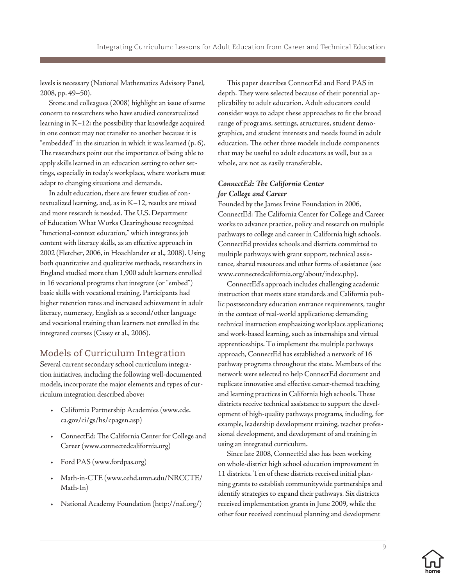<span id="page-11-0"></span>levels is necessary (National Mathematics Advisory Panel, 2008, pp. 49–50).

Stone and colleagues (2008) highlight an issue of some concern to researchers who have studied contextualized learning in K–12: the possibility that knowledge acquired in one context may not transfer to another because it is "embedded" in the situation in which it was learned (p. 6). The researchers point out the importance of being able to apply skills learned in an education setting to other settings, especially in today's workplace, where workers must adapt to changing situations and demands.

In adult education, there are fewer studies of contextualized learning, and, as in K–12, results are mixed and more research is needed. The U.S. Department of Education What Works Clearinghouse recognized "functional-context education," which integrates job content with literacy skills, as an effective approach in 2002 (Fletcher, 2006, in Hoachlander et al., 2008). Using both quantitative and qualitative methods, researchers in England studied more than 1,900 adult learners enrolled in 16 vocational programs that integrate (or "embed") basic skills with vocational training. Participants had higher retention rates and increased achievement in adult literacy, numeracy, English as a second/other language and vocational training than learners not enrolled in the integrated courses (Casey et al., 2006).

# Models of Curriculum Integration

Several current secondary school curriculum integration initiatives, including the following well-documented models, incorporate the major elements and types of curriculum integration described above:

- • California Partnership Academies (www.cde. ca.gov/ci/gs/hs/cpagen.asp)
- • ConnectEd: The California Center for College and Career (www.connectedcalifornia.org)
- Ford PAS (www.fordpas.org)
- Math-in-CTE (www.cehd.umn.edu/NRCCTE/ Math-In)
- National Academy Foundation (http://naf.org/)

This paper describes ConnectEd and Ford PAS in depth. They were selected because of their potential applicability to adult education. Adult educators could consider ways to adapt these approaches to fit the broad range of programs, settings, structures, student demographics, and student interests and needs found in adult education. The other three models include components that may be useful to adult educators as well, but as a whole, are not as easily transferable.

### *ConnectEd: The California Center for College and Career*

Founded by the James Irvine Foundation in 2006, ConnectEd: The California Center for College and Career works to advance practice, policy and research on multiple pathways to college and career in California high schools. ConnectEd provides schools and districts committed to multiple pathways with grant support, technical assistance, shared resources and other forms of assistance (see www.connectedcalifornia.org/about/index.php).

ConnectEd's approach includes challenging academic instruction that meets state standards and California public postsecondary education entrance requirements, taught in the context of real-world applications; demanding technical instruction emphasizing workplace applications; and work-based learning, such as internships and virtual apprenticeships. To implement the multiple pathways approach, ConnectEd has established a network of 16 pathway programs throughout the state. Members of the network were selected to help ConnectEd document and replicate innovative and effective career-themed teaching and learning practices in California high schools. These districts receive technical assistance to support the development of high-quality pathways programs, including, for example, leadership development training, teacher professional development, and development of and training in using an integrated curriculum.

Since late 2008, ConnectEd also has been working on whole-district high school education improvement in 11 districts. Ten of these districts received initial planning grants to establish communitywide partnerships and identify strategies to expand their pathways. Six districts received implementation grants in June 2009, while the other four received continued planning and development

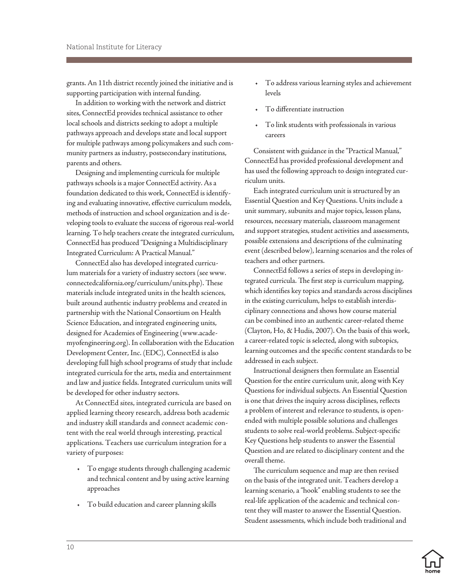grants. An 11th district recently joined the initiative and is supporting participation with internal funding.

In addition to working with the network and district sites, ConnectEd provides technical assistance to other local schools and districts seeking to adopt a multiple pathways approach and develops state and local support for multiple pathways among policymakers and such community partners as industry, postsecondary institutions, parents and others.

Designing and implementing curricula for multiple pathways schools is a major ConnectEd activity. As a foundation dedicated to this work, ConnectEd is identifying and evaluating innovative, effective curriculum models, methods of instruction and school organization and is developing tools to evaluate the success of rigorous real-world learning. To help teachers create the integrated curriculum, ConnectEd has produced "Designing a Multidisciplinary Integrated Curriculum: A Practical Manual."

ConnectEd also has developed integrated curriculum materials for a variety of industry sectors (see www. connectedcalifornia.org/curriculum/units.php). These materials include integrated units in the health sciences, built around authentic industry problems and created in partnership with the National Consortium on Health Science Education, and integrated engineering units, designed for Academies of Engineering (www.academyofengineering.org). In collaboration with the Education Development Center, Inc. (EDC), ConnectEd is also developing full high school programs of study that include integrated curricula for the arts, media and entertainment and law and justice fields. Integrated curriculum units will be developed for other industry sectors.

At ConnectEd sites, integrated curricula are based on applied learning theory research, address both academic and industry skill standards and connect academic content with the real world through interesting, practical applications. Teachers use curriculum integration for a variety of purposes:

- • To engage students through challenging academic and technical content and by using active learning approaches
- • To build education and career planning skills
- • To address various learning styles and achievement levels
- To differentiate instruction
- To link students with professionals in various careers

Consistent with guidance in the "Practical Manual," ConnectEd has provided professional development and has used the following approach to design integrated curriculum units.

Each integrated curriculum unit is structured by an Essential Question and Key Questions. Units include a unit summary, subunits and major topics, lesson plans, resources, necessary materials, classroom management and support strategies, student activities and assessments, possible extensions and descriptions of the culminating event (described below), learning scenarios and the roles of teachers and other partners.

ConnectEd follows a series of steps in developing integrated curricula. The first step is curriculum mapping, which identifies key topics and standards across disciplines in the existing curriculum, helps to establish interdisciplinary connections and shows how course material can be combined into an authentic career-related theme (Clayton, Ho, & Hudis, 2007). On the basis of this work, a career-related topic is selected, along with subtopics, learning outcomes and the specific content standards to be addressed in each subject.

Instructional designers then formulate an Essential Question for the entire curriculum unit, along with Key Questions for individual subjects. An Essential Question is one that drives the inquiry across disciplines, reflects a problem of interest and relevance to students, is openended with multiple possible solutions and challenges students to solve real-world problems. Subject-specific Key Questions help students to answer the Essential Question and are related to disciplinary content and the overall theme.

The curriculum sequence and map are then revised on the basis of the integrated unit. Teachers develop a learning scenario, a "hook" enabling students to see the real-life application of the academic and technical content they will master to answer the Essential Question. Student assessments, which include both traditional and

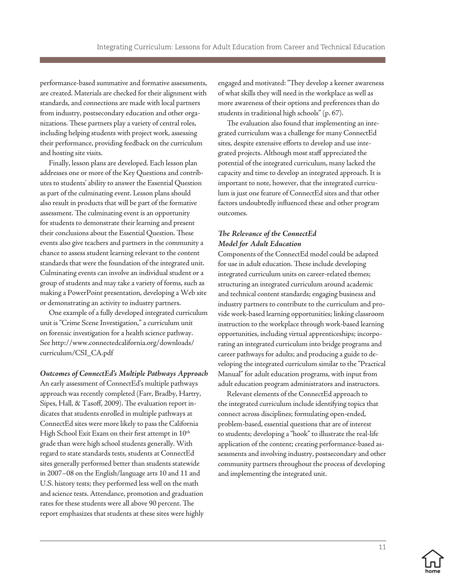performance-based summative and formative assessments, are created. Materials are checked for their alignment with standards, and connections are made with local partners from industry, postsecondary education and other organizations. These partners play a variety of central roles, including helping students with project work, assessing their performance, providing feedback on the curriculum and hosting site visits.

Finally, lesson plans are developed. Each lesson plan addresses one or more of the Key Questions and contributes to students' ability to answer the Essential Question as part of the culminating event. Lesson plans should also result in products that will be part of the formative assessment. The culminating event is an opportunity for students to demonstrate their learning and present their conclusions about the Essential Question. These events also give teachers and partners in the community a chance to assess student learning relevant to the content standards that were the foundation of the integrated unit. Culminating events can involve an individual student or a group of students and may take a variety of forms, such as making a PowerPoint presentation, developing a Web site or demonstrating an activity to industry partners.

One example of a fully developed integrated curriculum unit is "Crime Scene Investigation," a curriculum unit on forensic investigation for a health science pathway. See http://www.connectedcalifornia.org/downloads/ curriculum/CSI\_CA.pdf

#### *Outcomes of ConnectEd's Multiple Pathways Approach*

An early assessment of ConnectEd's multiple pathways approach was recently completed (Farr, Bradby, Hartry, Sipes, Hall, & Tasoff, 2009). The evaluation report indicates that students enrolled in multiple pathways at ConnectEd sites were more likely to pass the California High School Exit Exam on their first attempt in  $10^{\text{th}}$ grade than were high school students generally. With regard to state standards tests, students at ConnectEd sites generally performed better than students statewide in 2007–08 on the English/language arts 10 and 11 and U.S. history tests; they performed less well on the math and science tests. Attendance, promotion and graduation rates for these students were all above 90 percent. The report emphasizes that students at these sites were highly engaged and motivated: "They develop a keener awareness of what skills they will need in the workplace as well as more awareness of their options and preferences than do students in traditional high schools" (p. 67).

The evaluation also found that implementing an integrated curriculum was a challenge for many ConnectEd sites, despite extensive efforts to develop and use integrated projects. Although most staff appreciated the potential of the integrated curriculum, many lacked the capacity and time to develop an integrated approach. It is important to note, however, that the integrated curriculum is just one feature of ConnectEd sites and that other factors undoubtedly influenced these and other program outcomes.

#### *The Relevance of the ConnectEd Model for Adult Education*

Components of the ConnectEd model could be adapted for use in adult education. These include developing integrated curriculum units on career-related themes; structuring an integrated curriculum around academic and technical content standards; engaging business and industry partners to contribute to the curriculum and provide work-based learning opportunities; linking classroom instruction to the workplace through work-based learning opportunities, including virtual apprenticeships; incorporating an integrated curriculum into bridge programs and career pathways for adults; and producing a guide to developing the integrated curriculum similar to the "Practical Manual" for adult education programs, with input from adult education program administrators and instructors.

Relevant elements of the ConnectEd approach to the integrated curriculum include identifying topics that connect across disciplines; formulating open-ended, problem-based, essential questions that are of interest to students; developing a "hook" to illustrate the real-life application of the content; creating performance-based assessments and involving industry, postsecondary and other community partners throughout the process of developing and implementing the integrated unit.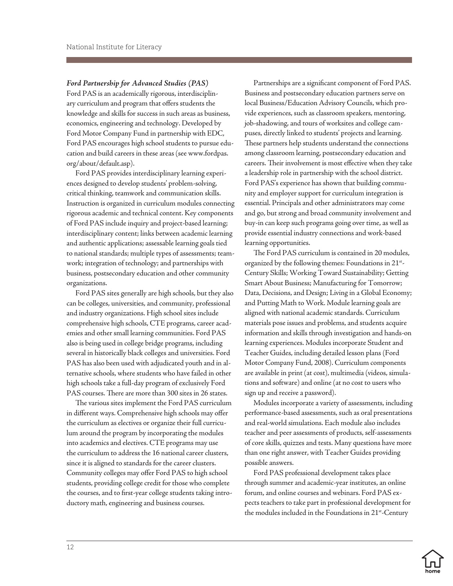*Ford Partnership for Advanced Studies (PAS)*  Ford PAS is an academically rigorous, interdisciplinary curriculum and program that offers students the knowledge and skills for success in such areas as business, economics, engineering and technology. Developed by Ford Motor Company Fund in partnership with EDC, Ford PAS encourages high school students to pursue education and build careers in these areas (see www.fordpas. org/about/default.asp).

Ford PAS provides interdisciplinary learning experiences designed to develop students' problem-solving, critical thinking, teamwork and communication skills. Instruction is organized in curriculum modules connecting rigorous academic and technical content. Key components of Ford PAS include inquiry and project-based learning; interdisciplinary content; links between academic learning and authentic applications; assessable learning goals tied to national standards; multiple types of assessments; teamwork; integration of technology; and partnerships with business, postsecondary education and other community organizations.

Ford PAS sites generally are high schools, but they also can be colleges, universities, and community, professional and industry organizations. High school sites include comprehensive high schools, CTE programs, career academies and other small learning communities. Ford PAS also is being used in college bridge programs, including several in historically black colleges and universities. Ford PAS has also been used with adjudicated youth and in alternative schools, where students who have failed in other high schools take a full-day program of exclusively Ford PAS courses. There are more than 300 sites in 26 states.

The various sites implement the Ford PAS curriculum in different ways. Comprehensive high schools may offer the curriculum as electives or organize their full curriculum around the program by incorporating the modules into academics and electives. CTE programs may use the curriculum to address the 16 national career clusters, since it is aligned to standards for the career clusters. Community colleges may offer Ford PAS to high school students, providing college credit for those who complete the courses, and to first-year college students taking introductory math, engineering and business courses.

Partnerships are a significant component of Ford PAS. Business and postsecondary education partners serve on local Business/Education Advisory Councils, which provide experiences, such as classroom speakers, mentoring, job-shadowing, and tours of worksites and college campuses, directly linked to students' projects and learning. These partners help students understand the connections among classroom learning, postsecondary education and careers. Their involvement is most effective when they take a leadership role in partnership with the school district. Ford PAS's experience has shown that building community and employer support for curriculum integration is essential. Principals and other administrators may come and go, but strong and broad community involvement and buy-in can keep such programs going over time, as well as provide essential industry connections and work-based learning opportunities.

The Ford PAS curriculum is contained in 20 modules, organized by the following themes: Foundations in 21<sup>st</sup>-Century Skills; Working Toward Sustainability; Getting Smart About Business; Manufacturing for Tomorrow; Data, Decisions, and Design; Living in a Global Economy; and Putting Math to Work. Module learning goals are aligned with national academic standards. Curriculum materials pose issues and problems, and students acquire information and skills through investigation and hands-on learning experiences. Modules incorporate Student and Teacher Guides, including detailed lesson plans (Ford Motor Company Fund, 2008). Curriculum components are available in print (at cost), multimedia (videos, simulations and software) and online (at no cost to users who sign up and receive a password).

Modules incorporate a variety of assessments, including performance-based assessments, such as oral presentations and real-world simulations. Each module also includes teacher and peer assessments of products, self-assessments of core skills, quizzes and tests. Many questions have more than one right answer, with Teacher Guides providing possible answers.

Ford PAS professional development takes place through summer and academic-year institutes, an online forum, and online courses and webinars. Ford PAS expects teachers to take part in professional development for the modules included in the Foundations in 21<sup>st</sup>-Century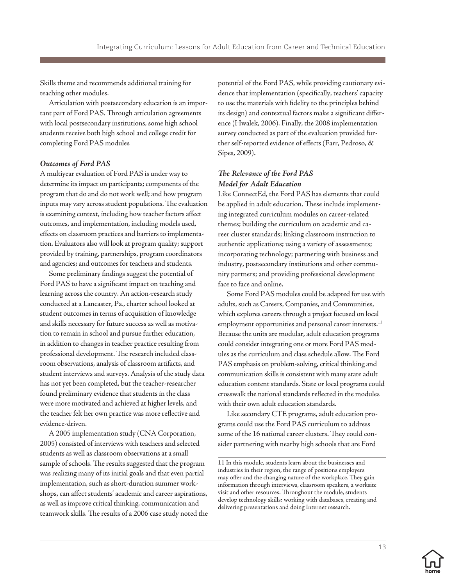Skills theme and recommends additional training for teaching other modules.

Articulation with postsecondary education is an important part of Ford PAS. Through articulation agreements with local postsecondary institutions, some high school students receive both high school and college credit for completing Ford PAS modules

#### *Outcomes of Ford PAS*

A multiyear evaluation of Ford PAS is under way to determine its impact on participants; components of the program that do and do not work well; and how program inputs may vary across student populations. The evaluation is examining context, including how teacher factors affect outcomes, and implementation, including models used, effects on classroom practices and barriers to implementation. Evaluators also will look at program quality; support provided by training, partnerships, program coordinators and agencies; and outcomes for teachers and students.

Some preliminary findings suggest the potential of Ford PAS to have a significant impact on teaching and learning across the country. An action-research study conducted at a Lancaster, Pa., charter school looked at student outcomes in terms of acquisition of knowledge and skills necessary for future success as well as motivation to remain in school and pursue further education, in addition to changes in teacher practice resulting from professional development. The research included classroom observations, analysis of classroom artifacts, and student interviews and surveys. Analysis of the study data has not yet been completed, but the teacher-researcher found preliminary evidence that students in the class were more motivated and achieved at higher levels, and the teacher felt her own practice was more reflective and evidence-driven.

A 2005 implementation study (CNA Corporation, 2005) consisted of interviews with teachers and selected students as well as classroom observations at a small sample of schools. The results suggested that the program was realizing many of its initial goals and that even partial implementation, such as short-duration summer workshops, can affect students' academic and career aspirations, as well as improve critical thinking, communication and teamwork skills. The results of a 2006 case study noted the

potential of the Ford PAS, while providing cautionary evidence that implementation (specifically, teachers' capacity to use the materials with fidelity to the principles behind its design) and contextual factors make a significant difference (Hwalek, 2006). Finally, the 2008 implementation survey conducted as part of the evaluation provided further self-reported evidence of effects (Farr, Pedroso, & Sipes, 2009).

#### *The Relevance of the Ford PAS Model for Adult Education*

Like ConnectEd, the Ford PAS has elements that could be applied in adult education. These include implementing integrated curriculum modules on career-related themes; building the curriculum on academic and career cluster standards; linking classroom instruction to authentic applications; using a variety of assessments; incorporating technology; partnering with business and industry, postsecondary institutions and other community partners; and providing professional development face to face and online.

Some Ford PAS modules could be adapted for use with adults, such as Careers, Companies, and Communities, which explores careers through a project focused on local employment opportunities and personal career interests.<sup>11</sup> Because the units are modular, adult education programs could consider integrating one or more Ford PAS modules as the curriculum and class schedule allow. The Ford PAS emphasis on problem-solving, critical thinking and communication skills is consistent with many state adult education content standards. State or local programs could crosswalk the national standards reflected in the modules with their own adult education standards.

Like secondary CTE programs, adult education programs could use the Ford PAS curriculum to address some of the 16 national career clusters. They could consider partnering with nearby high schools that are Ford



<sup>11</sup> In this module, students learn about the businesses and industries in their region, the range of positions employers may offer and the changing nature of the workplace. They gain information through interviews, classroom speakers, a worksite visit and other resources. Throughout the module, students develop technology skills: working with databases, creating and delivering presentations and doing Internet research.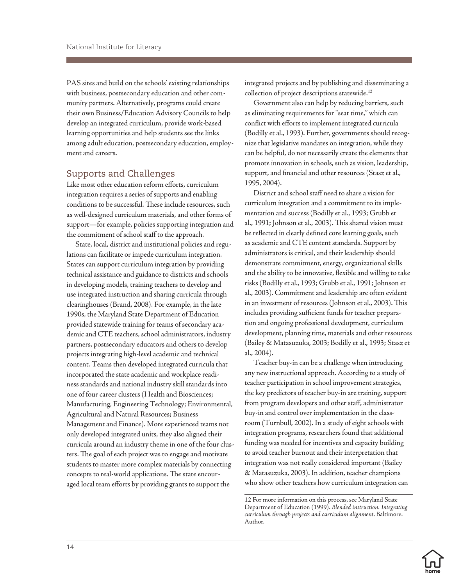<span id="page-16-0"></span>PAS sites and build on the schools' existing relationships with business, postsecondary education and other community partners. Alternatively, programs could create their own Business/Education Advisory Councils to help develop an integrated curriculum, provide work-based learning opportunities and help students see the links among adult education, postsecondary education, employment and careers.

### Supports and Challenges

Like most other education reform efforts, curriculum integration requires a series of supports and enabling conditions to be successful. These include resources, such as well-designed curriculum materials, and other forms of support—for example, policies supporting integration and the commitment of school staff to the approach.

State, local, district and institutional policies and regulations can facilitate or impede curriculum integration. States can support curriculum integration by providing technical assistance and guidance to districts and schools in developing models, training teachers to develop and use integrated instruction and sharing curricula through clearinghouses (Brand, 2008). For example, in the late 1990s, the Maryland State Department of Education provided statewide training for teams of secondary academic and CTE teachers, school administrators, industry partners, postsecondary educators and others to develop projects integrating high-level academic and technical content. Teams then developed integrated curricula that incorporated the state academic and workplace readiness standards and national industry skill standards into one of four career clusters (Health and Biosciences; Manufacturing, Engineering Technology; Environmental, Agricultural and Natural Resources; Business Management and Finance). More experienced teams not only developed integrated units, they also aligned their curricula around an industry theme in one of the four clusters. The goal of each project was to engage and motivate students to master more complex materials by connecting concepts to real-world applications. The state encouraged local team efforts by providing grants to support the

integrated projects and by publishing and disseminating a collection of project descriptions statewide.12

Government also can help by reducing barriers, such as eliminating requirements for "seat time," which can conflict with efforts to implement integrated curricula (Bodilly et al., 1993). Further, governments should recognize that legislative mandates on integration, while they can be helpful, do not necessarily create the elements that promote innovation in schools, such as vision, leadership, support, and financial and other resources (Stasz et al., 1995, 2004).

District and school staff need to share a vision for curriculum integration and a commitment to its implementation and success (Bodilly et al., 1993; Grubb et al., 1991; Johnson et al., 2003). This shared vision must be reflected in clearly defined core learning goals, such as academic and CTE content standards. Support by administrators is critical, and their leadership should demonstrate commitment, energy, organizational skills and the ability to be innovative, flexible and willing to take risks (Bodilly et al., 1993; Grubb et al., 1991; Johnson et al., 2003). Commitment and leadership are often evident in an investment of resources (Johnson et al., 2003). This includes providing sufficient funds for teacher preparation and ongoing professional development, curriculum development, planning time, materials and other resources (Bailey & Matasuzuka, 2003; Bodilly et al., 1993; Stasz et al., 2004).

Teacher buy-in can be a challenge when introducing any new instructional approach. According to a study of teacher participation in school improvement strategies, the key predictors of teacher buy-in are training, support from program developers and other staff, administrator buy-in and control over implementation in the classroom (Turnbull, 2002). In a study of eight schools with integration programs, researchers found that additional funding was needed for incentives and capacity building to avoid teacher burnout and their interpretation that integration was not really considered important (Bailey & Matasuzuka, 2003). In addition, teacher champions who show other teachers how curriculum integration can

<sup>12</sup> For more information on this process, see Maryland State Department of Education (1999). *Blended instruction: Integrating curriculum through projects and curriculum alignment*. Baltimore: Author.

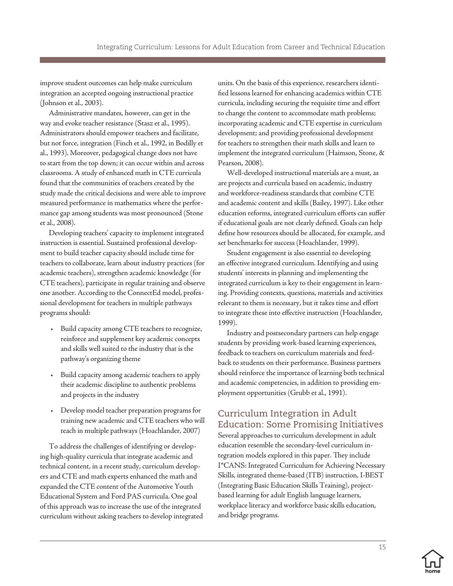<span id="page-17-0"></span>improve student outcomes can help make curriculum integration an accepted ongoing instructional practice (Johnson et al., 2003).

Administrative mandates, however, can get in the way and evoke teacher resistance (Stasz et al., 1995). Administrators should empower teachers and facilitate, but not force, integration (Finch et al., 1992, in Bodilly et al., 1993). Moreover, pedagogical change does not have to start from the top down; it can occur within and across classrooms. A study of enhanced math in CTE curricula found that the communities of teachers created by the study made the critical decisions and were able to improve measured performance in mathematics where the performance gap among students was most pronounced (Stone et al., 2008).

Developing teachers' capacity to implement integrated instruction is essential. Sustained professional development to build teacher capacity should include time for teachers to collaborate, learn about industry practices (for academic teachers), strengthen academic knowledge (for CTE teachers), participate in regular training and observe one another. According to the ConnectEd model, professional development for teachers in multiple pathways programs should:

- • Build capacity among CTE teachers to recognize, reinforce and supplement key academic concepts and skills well suited to the industry that is the pathway's organizing theme
- Build capacity among academic teachers to apply their academic discipline to authentic problems and projects in the industry
- • Develop model teacher preparation programs for training new academic and CTE teachers who will teach in multiple pathways (Hoachlander, 2007)

To address the challenges of identifying or developing high-quality curricula that integrate academic and technical content, in a recent study, curriculum developers and CTE and math experts enhanced the math and expanded the CTE content of the Automotive Youth Educational System and Ford PAS curricula. One goal of this approach was to increase the use of the integrated curriculum without asking teachers to develop integrated units. On the basis of this experience, researchers identified lessons learned for enhancing academics within CTE curricula, including securing the requisite time and effort to change the content to accommodate math problems; incorporating academic and CTE expertise in curriculum development; and providing professional development for teachers to strengthen their math skills and learn to implement the integrated curriculum (Haimson, Stone, & Pearson, 2008).

Well-developed instructional materials are a must, as are projects and curricula based on academic, industry and workforce-readiness standards that combine CTE and academic content and skills (Bailey, 1997). Like other education reforms, integrated curriculum efforts can suffer if educational goals are not clearly defined. Goals can help define how resources should be allocated, for example, and set benchmarks for success (Hoachlander, 1999).

Student engagement is also essential to developing an effective integrated curriculum. Identifying and using students' interests in planning and implementing the integrated curriculum is key to their engagement in learning. Providing contexts, questions, materials and activities relevant to them is necessary, but it takes time and effort to integrate these into effective instruction (Hoachlander, 1999).

Industry and postsecondary partners can help engage students by providing work-based learning experiences, feedback to teachers on curriculum materials and feedback to students on their performance. Business partners should reinforce the importance of learning both technical and academic competencies, in addition to providing employment opportunities (Grubb et al., 1991).

### Curriculum Integration in Adult Education: Some Promising Initiatives

Several approaches to curriculum development in adult education resemble the secondary-level curriculum integration models explored in this paper. They include I\*CANS: Integrated Curriculum for Achieving Necessary Skills, integrated theme-based (ITB) instruction, I-BEST (Integrating Basic Education Skills Training), projectbased learning for adult English language learners, workplace literacy and workforce basic skills education, and bridge programs.

15

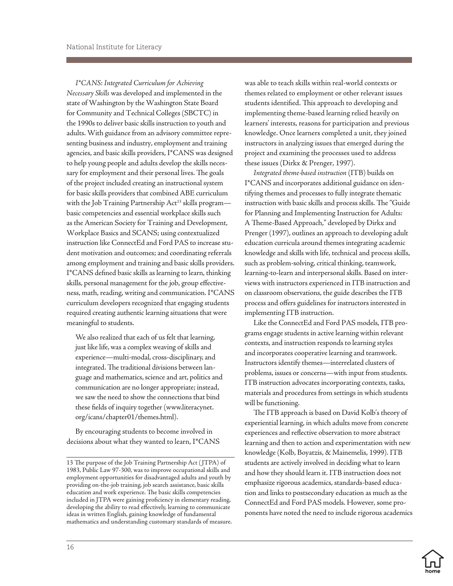*I\*CANS: Integrated Curriculum for Achieving Necessary Skills* was developed and implemented in the state of Washington by the Washington State Board for Community and Technical Colleges (SBCTC) in the 1990s to deliver basic skills instruction to youth and adults. With guidance from an advisory committee representing business and industry, employment and training agencies, and basic skills providers, I\*CANS was designed to help young people and adults develop the skills necessary for employment and their personal lives. The goals of the project included creating an instructional system for basic skills providers that combined ABE curriculum with the Job Training Partnership Act<sup>13</sup> skills programbasic competencies and essential workplace skills such as the American Society for Training and Development, Workplace Basics and SCANS; using contextualized instruction like ConnectEd and Ford PAS to increase student motivation and outcomes; and coordinating referrals among employment and training and basic skills providers. I\*CANS defined basic skills as learning to learn, thinking skills, personal management for the job, group effectiveness, math, reading, writing and communication. I\*CANS curriculum developers recognized that engaging students required creating authentic learning situations that were meaningful to students.

We also realized that each of us felt that learning, just like life, was a complex weaving of skills and experience—multi-modal, cross-disciplinary, and integrated. The traditional divisions between language and mathematics, science and art, politics and communication are no longer appropriate; instead, we saw the need to show the connections that bind these fields of inquiry together (www.literacynet. org/icans/chapter01/themes.html).

By encouraging students to become involved in decisions about what they wanted to learn, I\*CANS was able to teach skills within real-world contexts or themes related to employment or other relevant issues students identified. This approach to developing and implementing theme-based learning relied heavily on learners' interests, reasons for participation and previous knowledge. Once learners completed a unit, they joined instructors in analyzing issues that emerged during the project and examining the processes used to address these issues (Dirkx & Prenger, 1997).

*Integrated theme-based instruction* (ITB) builds on I\*CANS and incorporates additional guidance on identifying themes and processes to fully integrate thematic instruction with basic skills and process skills. The "Guide for Planning and Implementing Instruction for Adults: A Theme-Based Approach," developed by Dirkx and Prenger (1997), outlines an approach to developing adult education curricula around themes integrating academic knowledge and skills with life, technical and process skills, such as problem-solving, critical thinking, teamwork, learning-to-learn and interpersonal skills. Based on interviews with instructors experienced in ITB instruction and on classroom observations, the guide describes the ITB process and offers guidelines for instructors interested in implementing ITB instruction.

Like the ConnectEd and Ford PAS models, ITB programs engage students in active learning within relevant contexts, and instruction responds to learning styles and incorporates cooperative learning and teamwork. Instructors identify themes—interrelated clusters of problems, issues or concerns—with input from students. ITB instruction advocates incorporating contexts, tasks, materials and procedures from settings in which students will be functioning.

The ITB approach is based on David Kolb's theory of experiential learning, in which adults move from concrete experiences and reflective observation to more abstract learning and then to action and experimentation with new knowledge (Kolb, Boyatzis, & Mainemelis, 1999). ITB students are actively involved in deciding what to learn and how they should learn it. ITB instruction does not emphasize rigorous academics, standards-based education and links to postsecondary education as much as the ConnectEd and Ford PAS models. However, some proponents have noted the need to include rigorous academics

<sup>13</sup> The purpose of the Job Training Partnership Act ( JTPA) of 1983, Public Law 97-300, was to improve occupational skills and employment opportunities for disadvantaged adults and youth by providing on-the-job training, job search assistance, basic skills education and work experience. The basic skills competencies included in JTPA were gaining proficiency in elementary reading, developing the ability to read effectively, learning to communicate ideas in written English, gaining knowledge of fundamental mathematics and understanding customary standards of measure.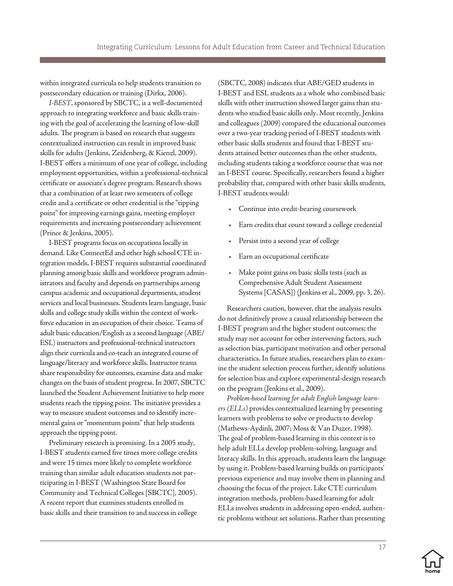within integrated curricula to help students transition to postsecondary education or training (Dirkx, 2006).

*I-BEST*, sponsored by SBCTC, is a well-documented approach to integrating workforce and basic skills training with the goal of accelerating the learning of low-skill adults. The program is based on research that suggests contextualized instruction can result in improved basic skills for adults (Jenkins, Zeidenberg, & Kienzl, 2009). I-BEST offers a minimum of one year of college, including employment opportunities, within a professional-technical certificate or associate's degree program. Research shows that a combination of at least two semesters of college credit and a certificate or other credential is the "tipping point" for improving earnings gains, meeting employer requirements and increasing postsecondary achievement (Prince & Jenkins, 2005).

I-BEST programs focus on occupations locally in demand. Like ConnectEd and other high school CTE integration models, I-BEST requires substantial coordinated planning among basic skills and workforce program administrators and faculty and depends on partnerships among campus academic and occupational departments, student services and local businesses. Students learn language, basic skills and college study skills within the context of workforce education in an occupation of their choice. Teams of adult basic education/English as a second language (ABE/ ESL) instructors and professional-technical instructors align their curricula and co-teach an integrated course of language/literacy and workforce skills. Instructor teams share responsibility for outcomes, examine data and make changes on the basis of student progress. In 2007, SBCTC launched the Student Achievement Initiative to help more students reach the tipping point. The initiative provides a way to measure student outcomes and to identify incremental gains or "momentum points" that help students approach the tipping point.

Preliminary research is promising. In a 2005 study, I-BEST students earned five times more college credits and were 15 times more likely to complete workforce training than similar adult education students not participating in I-BEST (Washington State Board for Community and Technical Colleges [SBCTC], 2005). A recent report that examines students enrolled in basic skills and their transition to and success in college (SBCTC, 2008) indicates that ABE/GED students in I-BEST and ESL students as a whole who combined basic skills with other instruction showed larger gains than students who studied basic skills only. Most recently, Jenkins and colleagues (2009) compared the educational outcomes over a two-year tracking period of I-BEST students with other basic skills students and found that I-BEST students attained better outcomes than the other students, including students taking a workforce course that was not an I-BEST course. Specifically, researchers found a higher probability that, compared with other basic skills students, I-BEST students would:

- Continue into credit-bearing coursework
- Earn credits that count toward a college credential
- Persist into a second year of college
- Earn an occupational certificate
- Make point gains on basic skills tests (such as Comprehensive Adult Student Assessment Systems [CASAS]) (Jenkins et al., 2009, pp. 3, 26).

Researchers caution, however, that the analysis results do not definitively prove a causal relationship between the I-BEST program and the higher student outcomes; the study may not account for other intervening factors, such as selection bias, participant motivation and other personal characteristics. In future studies, researchers plan to examine the student selection process further, identify solutions for selection bias and explore experimental-design research on the program (Jenkins et al., 2009).

*Problem-based learning for adult English language learners (ELLs)* provides contextualized learning by presenting learners with problems to solve or products to develop (Mathews-Aydinli, 2007; Moss & Van Duzer, 1998). The goal of problem-based learning in this context is to help adult ELLs develop problem-solving, language and literacy skills. In this approach, students learn the language by using it. Problem-based learning builds on participants' previous experience and may involve them in planning and choosing the focus of the project. Like CTE curriculum integration methods, problem-based learning for adult ELLs involves students in addressing open-ended, authentic problems without set solutions. Rather than presenting

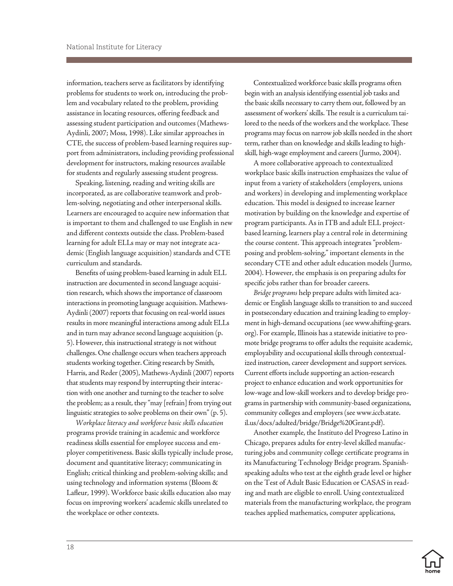information, teachers serve as facilitators by identifying problems for students to work on, introducing the problem and vocabulary related to the problem, providing assistance in locating resources, offering feedback and assessing student participation and outcomes (Mathews-Aydinli, 2007; Moss, 1998). Like similar approaches in CTE, the success of problem-based learning requires support from administrators, including providing professional development for instructors, making resources available for students and regularly assessing student progress.

Speaking, listening, reading and writing skills are incorporated, as are collaborative teamwork and problem-solving, negotiating and other interpersonal skills. Learners are encouraged to acquire new information that is important to them and challenged to use English in new and different contexts outside the class. Problem-based learning for adult ELLs may or may not integrate academic (English language acquisition) standards and CTE curriculum and standards.

Benefits of using problem-based learning in adult ELL instruction are documented in second language acquisition research, which shows the importance of classroom interactions in promoting language acquisition. Mathews-Aydinli (2007) reports that focusing on real-world issues results in more meaningful interactions among adult ELLs and in turn may advance second language acquisition (p. 5). However, this instructional strategy is not without challenges. One challenge occurs when teachers approach students working together. Citing research by Smith, Harris, and Reder (2005), Mathews-Aydinli (2007) reports that students may respond by interrupting their interaction with one another and turning to the teacher to solve the problem; as a result, they "may [refrain] from trying out linguistic strategies to solve problems on their own" (p. 5).

*Workplace literacy and workforce basic skills education*  programs provide training in academic and workforce readiness skills essential for employee success and employer competitiveness. Basic skills typically include prose, document and quantitative literacy; communicating in English; critical thinking and problem-solving skills; and using technology and information systems (Bloom & Lafleur, 1999). Workforce basic skills education also may focus on improving workers' academic skills unrelated to the workplace or other contexts.

Contextualized workforce basic skills programs often begin with an analysis identifying essential job tasks and the basic skills necessary to carry them out, followed by an assessment of workers' skills. The result is a curriculum tailored to the needs of the workers and the workplace. These programs may focus on narrow job skills needed in the short term, rather than on knowledge and skills leading to highskill, high-wage employment and careers (Jurmo, 2004).

A more collaborative approach to contextualized workplace basic skills instruction emphasizes the value of input from a variety of stakeholders (employers, unions and workers) in developing and implementing workplace education. This model is designed to increase learner motivation by building on the knowledge and expertise of program participants. As in ITB and adult ELL projectbased learning, learners play a central role in determining the course content. This approach integrates "problemposing and problem-solving," important elements in the secondary CTE and other adult education models (Jurmo, 2004). However, the emphasis is on preparing adults for specific jobs rather than for broader careers.

*Bridge programs* help prepare adults with limited academic or English language skills to transition to and succeed in postsecondary education and training leading to employment in high-demand occupations (see www.shifting-gears. org). For example, Illinois has a statewide initiative to promote bridge programs to offer adults the requisite academic, employability and occupational skills through contextualized instruction, career development and support services. Current efforts include supporting an action-research project to enhance education and work opportunities for low-wage and low-skill workers and to develop bridge programs in partnership with community-based organizations, community colleges and employers (see www.iccb.state. il.us/docs/adulted/bridge/Bridge%20Grant.pdf).

Another example, the Instituto del Progreso Latino in Chicago, prepares adults for entry-level skilled manufacturing jobs and community college certificate programs in its Manufacturing Technology Bridge program. Spanishspeaking adults who test at the eighth grade level or higher on the Test of Adult Basic Education or CASAS in reading and math are eligible to enroll. Using contextualized materials from the manufacturing workplace, the program teaches applied mathematics, computer applications,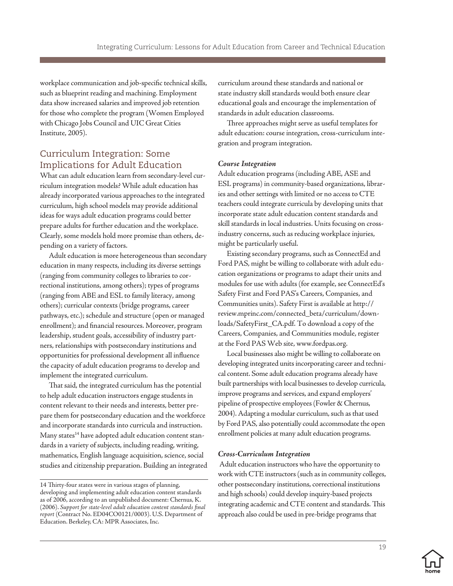<span id="page-21-0"></span>workplace communication and job-specific technical skills, such as blueprint reading and machining. Employment data show increased salaries and improved job retention for those who complete the program (Women Employed with Chicago Jobs Council and UIC Great Cities Institute, 2005).

## Curriculum Integration: Some Implications for Adult Education

What can adult education learn from secondary-level curriculum integration models? While adult education has already incorporated various approaches to the integrated curriculum, high school models may provide additional ideas for ways adult education programs could better prepare adults for further education and the workplace. Clearly, some models hold more promise than others, depending on a variety of factors.

Adult education is more heterogeneous than secondary education in many respects, including its diverse settings (ranging from community colleges to libraries to correctional institutions, among others); types of programs (ranging from ABE and ESL to family literacy, among others); curricular contexts (bridge programs, career pathways, etc.); schedule and structure (open or managed enrollment); and financial resources. Moreover, program leadership, student goals, accessibility of industry partners, relationships with postsecondary institutions and opportunities for professional development all influence the capacity of adult education programs to develop and implement the integrated curriculum.

That said, the integrated curriculum has the potential to help adult education instructors engage students in content relevant to their needs and interests, better prepare them for postsecondary education and the workforce and incorporate standards into curricula and instruction. Many states<sup>14</sup> have adopted adult education content standards in a variety of subjects, including reading, writing, mathematics, English language acquisition, science, social studies and citizenship preparation. Building an integrated curriculum around these standards and national or state industry skill standards would both ensure clear educational goals and encourage the implementation of standards in adult education classrooms.

Three approaches might serve as useful templates for adult education: course integration, cross-curriculum integration and program integration.

#### *Course Integration*

Adult education programs (including ABE, ASE and ESL programs) in community-based organizations, libraries and other settings with limited or no access to CTE teachers could integrate curricula by developing units that incorporate state adult education content standards and skill standards in local industries. Units focusing on crossindustry concerns, such as reducing workplace injuries, might be particularly useful.

Existing secondary programs, such as ConnectEd and Ford PAS, might be willing to collaborate with adult education organizations or programs to adapt their units and modules for use with adults (for example, see ConnectEd's Safety First and Ford PAS's Careers, Companies, and Communities units). Safety First is available at http:// review.mprinc.com/connected\_beta/curriculum/downloads/SafetyFirst\_CA.pdf. To download a copy of the Careers, Companies, and Communities module, register at the Ford PAS Web site, www.fordpas.org.

Local businesses also might be willing to collaborate on developing integrated units incorporating career and technical content. Some adult education programs already have built partnerships with local businesses to develop curricula, improve programs and services, and expand employers' pipeline of prospective employees (Fowler & Chernus, 2004). Adapting a modular curriculum, such as that used by Ford PAS, also potentially could accommodate the open enrollment policies at many adult education programs.

#### *Cross-Curriculum Integration*

 Adult education instructors who have the opportunity to work with CTE instructors (such as in community colleges, other postsecondary institutions, correctional institutions and high schools) could develop inquiry-based projects integrating academic and CTE content and standards. This approach also could be used in pre-bridge programs that

<sup>14</sup> Thirty-four states were in various stages of planning, developing and implementing adult education content standards as of 2006, according to an unpublished document: Chernus, K. (2006). *Support for state-level adult education content standards final report* (Contract No. ED04CO0121/0003). U.S. Department of Education. Berkeley, CA: MPR Associates, Inc.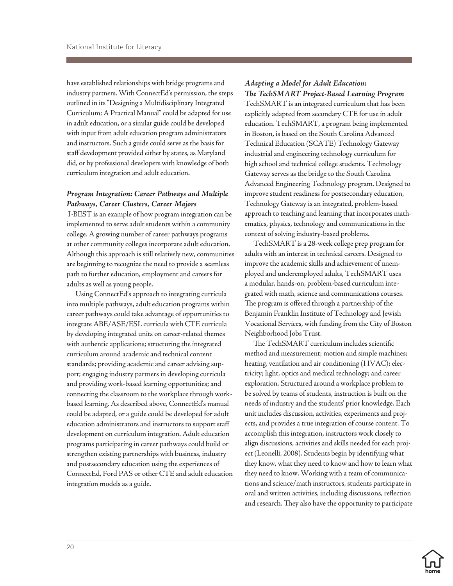have established relationships with bridge programs and industry partners. With ConnectEd's permission, the steps outlined in its "Designing a Multidisciplinary Integrated Curriculum: A Practical Manual" could be adapted for use in adult education, or a similar guide could be developed with input from adult education program administrators and instructors. Such a guide could serve as the basis for staff development provided either by states, as Maryland did, or by professional developers with knowledge of both curriculum integration and adult education.

#### *Program Integration: Career Pathways and Multiple Pathways, Career Clusters, Career Majors*

I-BEST is an example of how program integration can be implemented to serve adult students within a community college. A growing number of career pathways programs at other community colleges incorporate adult education. Although this approach is still relatively new, communities are beginning to recognize the need to provide a seamless path to further education, employment and careers for adults as well as young people.

Using ConnectEd's approach to integrating curricula into multiple pathways, adult education programs within career pathways could take advantage of opportunities to integrate ABE/ASE/ESL curricula with CTE curricula by developing integrated units on career-related themes with authentic applications; structuring the integrated curriculum around academic and technical content standards; providing academic and career advising support; engaging industry partners in developing curricula and providing work-based learning opportunities; and connecting the classroom to the workplace through workbased learning. As described above, ConnectEd's manual could be adapted, or a guide could be developed for adult education administrators and instructors to support staff development on curriculum integration. Adult education programs participating in career pathways could build or strengthen existing partnerships with business, industry and postsecondary education using the experiences of ConnectEd, Ford PAS or other CTE and adult education integration models as a guide.

# *Adapting a Model for Adult Education:*

*The TechSMART Project-Based Learning Program*  TechSMART is an integrated curriculum that has been explicitly adapted from secondary CTE for use in adult education. TechSMART, a program being implemented in Boston, is based on the South Carolina Advanced Technical Education (SCATE) Technology Gateway industrial and engineering technology curriculum for high school and technical college students. Technology Gateway serves as the bridge to the South Carolina Advanced Engineering Technology program. Designed to improve student readiness for postsecondary education, Technology Gateway is an integrated, problem-based approach to teaching and learning that incorporates mathematics, physics, technology and communications in the context of solving industry-based problems.

TechSMART is a 28-week college prep program for adults with an interest in technical careers. Designed to improve the academic skills and achievement of unemployed and underemployed adults, TechSMART uses a modular, hands-on, problem-based curriculum integrated with math, science and communications courses. The program is offered through a partnership of the Benjamin Franklin Institute of Technology and Jewish Vocational Services, with funding from the City of Boston Neighborhood Jobs Trust.

The TechSMART curriculum includes scientific method and measurement; motion and simple machines; heating, ventilation and air conditioning (HVAC); electricity; light, optics and medical technology; and career exploration. Structured around a workplace problem to be solved by teams of students, instruction is built on the needs of industry and the students' prior knowledge. Each unit includes discussion, activities, experiments and projects, and provides a true integration of course content. To accomplish this integration, instructors work closely to align discussions, activities and skills needed for each project (Leonelli, 2008). Students begin by identifying what they know, what they need to know and how to learn what they need to know. Working with a team of communications and science/math instructors, students participate in oral and written activities, including discussions, reflection and research. They also have the opportunity to participate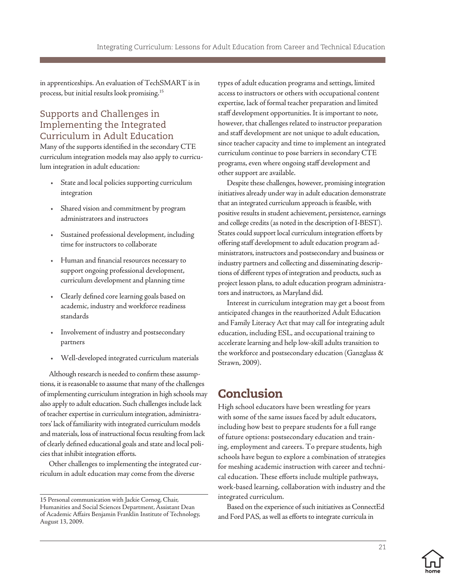<span id="page-23-0"></span>in apprenticeships. An evaluation of TechSMART is in process, but initial results look promising.15

# Supports and Challenges in Implementing the Integrated Curriculum in Adult Education

Many of the supports identified in the secondary CTE curriculum integration models may also apply to curriculum integration in adult education:

- • State and local policies supporting curriculum integration
- • Shared vision and commitment by program administrators and instructors
- • Sustained professional development, including time for instructors to collaborate
- Human and financial resources necessary to support ongoing professional development, curriculum development and planning time
- Clearly defined core learning goals based on academic, industry and workforce readiness standards
- • Involvement of industry and postsecondary partners
- • Well-developed integrated curriculum materials

Although research is needed to confirm these assumptions, it is reasonable to assume that many of the challenges of implementing curriculum integration in high schools may also apply to adult education. Such challenges include lack of teacher expertise in curriculum integration, administrators' lack of familiarity with integrated curriculum models and materials, loss of instructional focus resulting from lack of clearly defined educational goals and state and local policies that inhibit integration efforts.

Other challenges to implementing the integrated curriculum in adult education may come from the diverse

types of adult education programs and settings, limited access to instructors or others with occupational content expertise, lack of formal teacher preparation and limited staff development opportunities. It is important to note, however, that challenges related to instructor preparation and staff development are not unique to adult education, since teacher capacity and time to implement an integrated curriculum continue to pose barriers in secondary CTE programs, even where ongoing staff development and other support are available.

Despite these challenges, however, promising integration initiatives already under way in adult education demonstrate that an integrated curriculum approach is feasible, with positive results in student achievement, persistence, earnings and college credits (as noted in the description of I-BEST). States could support local curriculum integration efforts by offering staff development to adult education program administrators, instructors and postsecondary and business or industry partners and collecting and disseminating descriptions of different types of integration and products, such as project lesson plans, to adult education program administrators and instructors, as Maryland did.

Interest in curriculum integration may get a boost from anticipated changes in the reauthorized Adult Education and Family Literacy Act that may call for integrating adult education, including ESL, and occupational training to accelerate learning and help low-skill adults transition to the workforce and postsecondary education (Ganzglass & Strawn, 2009).

# Conclusion

High school educators have been wrestling for years with some of the same issues faced by adult educators, including how best to prepare students for a full range of future options: postsecondary education and training, employment and careers. To prepare students, high schools have begun to explore a combination of strategies for meshing academic instruction with career and technical education. These efforts include multiple pathways, work-based learning, collaboration with industry and the integrated curriculum.

Based on the experience of such initiatives as ConnectEd and Ford PAS, as well as efforts to integrate curricula in



21



<sup>15</sup> Personal communication with Jackie Cornog, Chair, Humanities and Social Sciences Department, Assistant Dean of Academic Affairs Benjamin Franklin Institute of Technology, August 13, 2009.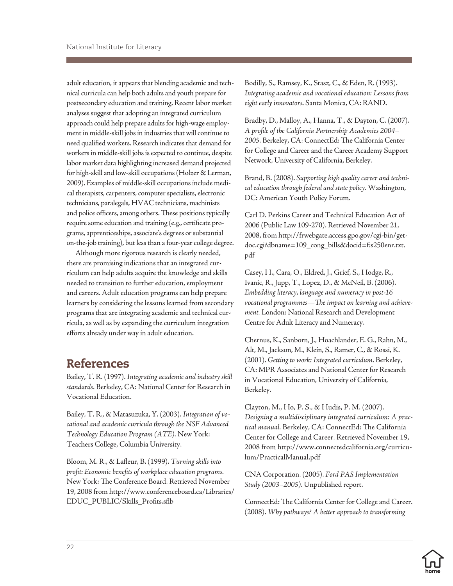<span id="page-24-0"></span>adult education, it appears that blending academic and technical curricula can help both adults and youth prepare for postsecondary education and training. Recent labor market analyses suggest that adopting an integrated curriculum approach could help prepare adults for high-wage employment in middle-skill jobs in industries that will continue to need qualified workers. Research indicates that demand for workers in middle-skill jobs is expected to continue, despite labor market data highlighting increased demand projected for high-skill and low-skill occupations (Holzer & Lerman, 2009). Examples of middle-skill occupations include medical therapists, carpenters, computer specialists, electronic technicians, paralegals, HVAC technicians, machinists and police officers, among others. These positions typically require some education and training (e.g., certificate programs, apprenticeships, associate's degrees or substantial on-the-job training), but less than a four-year college degree.

Although more rigorous research is clearly needed, there are promising indications that an integrated curriculum can help adults acquire the knowledge and skills needed to transition to further education, employment and careers. Adult education programs can help prepare learners by considering the lessons learned from secondary programs that are integrating academic and technical curricula, as well as by expanding the curriculum integration efforts already under way in adult education.

# References

Bailey, T. R. (1997). *Integrating academic and industry skill standards.* Berkeley, CA: National Center for Research in Vocational Education.

Bailey, T. R., & Matasuzuka, Y. (2003). *Integration of vocational and academic curricula through the NSF Advanced Technology Education Program (ATE)*. New York: Teachers College, Columbia University.

Bloom, M. R., & Lafleur, B. (1999). *Turning skills into profit: Economic benefits of workplace education programs.* New York: The Conference Board. Retrieved November 19, 2008 from http://www.conferenceboard.ca/Libraries/ EDUC\_PUBLIC/Skills\_Profits.sflb

Bodilly, S., Ramsey, K., Stasz, C., & Eden, R. (1993). *Integrating academic and vocational education: Lessons from eight early innovators*. Santa Monica, CA: RAND.

Bradby, D., Malloy, A., Hanna, T., & Dayton, C. (2007). *A profile of the California Partnership Academies 2004– 2005.* Berkeley, CA: ConnectEd: The California Center for College and Career and the Career Academy Support Network, University of California, Berkeley.

Brand, B. (2008). *Supporting high quality career and technical education through federal and state policy*. Washington, DC: American Youth Policy Forum.

Carl D. Perkins Career and Technical Education Act of 2006 (Public Law 109-270). Retrieved November 21, 2008, from http://frwebgate.access.gpo.gov/cgi-bin/getdoc.cgi?dbname=109\_cong\_bills&docid=f:s250enr.txt. pdf

Casey, H., Cara, O., Eldred, J., Grief, S., Hodge, R., Ivanic, R., Jupp, T., Lopez, D., & McNeil, B. (2006). *Embedding literacy, language and numeracy in post-16 vocational programmes—The impact on learning and achievement.* London: National Research and Development Centre for Adult Literacy and Numeracy.

Chernus, K., Sanborn, J., Hoachlander, E. G., Rahn, M., Alt, M., Jackson, M., Klein, S., Ramer, C., & Rossi, K. (2001). *Getting to work: Integrated curriculum*. Berkeley, CA: MPR Associates and National Center for Research in Vocational Education, University of California, Berkeley.

Clayton, M., Ho, P. S., & Hudis, P. M. (2007). *Designing a multidisciplinary integrated curriculum: A practical manual.* Berkeley, CA: ConnectEd: The California Center for College and Career. Retrieved November 19, 2008 from http://www.connectedcalifornia.org/curriculum/PracticalManual.pdf

CNA Corporation. (2005). *Ford PAS Implementation Study (2003–2005).* Unpublished report.

ConnectEd: The California Center for College and Career. (2008). *Why pathways? A better approach to transforming* 

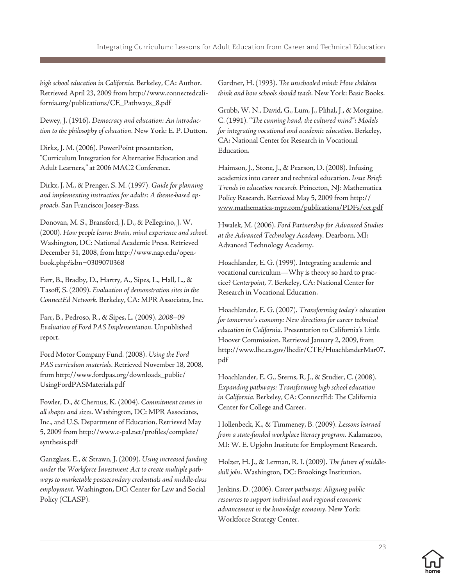*high school education in California.* Berkeley, CA: Author. Retrieved April 23, 2009 from http://www.connectedcalifornia.org/publications/CE\_Pathways\_8.pdf

Dewey, J. (1916). *Democracy and education: An introduction to the philosophy of education.* New York: E. P. Dutton.

Dirkx, J. M. (2006). PowerPoint presentation, "Curriculum Integration for Alternative Education and Adult Learners," at 2006 MAC2 Conference.

Dirkx, J. M., & Prenger, S. M. (1997). *Guide for planning and implementing instruction for adults: A theme-based approach*. San Francisco: Jossey-Bass.

Donovan, M. S., Bransford, J. D., & Pellegrino, J. W. (2000). *How people learn: Brain, mind experience and school.*  Washington, DC: National Academic Press. Retrieved December 31, 2008, from http://www.nap.edu/openbook.php?isbn=0309070368

Farr, B., Bradby, D., Hartry, A., Sipes, L., Hall, L., & Tasoff, S. (2009). *Evaluation of demonstration sites in the ConnectEd Network.* Berkeley, CA: MPR Associates, Inc.

Farr, B., Pedroso, R., & Sipes, L. (2009). *2008–09 Evaluation of Ford PAS Implementation*. Unpublished report.

Ford Motor Company Fund. (2008). *Using the Ford PAS curriculum materials*. Retrieved November 18, 2008, from http://www.fordpas.org/downloads\_public/ UsingFordPASMaterials.pdf

Fowler, D., & Chernus, K. (2004). *Commitment comes in all shapes and sizes*. Washington, DC: MPR Associates, Inc., and U.S. Department of Education. Retrieved May 5, 2009 from http://www.c-pal.net/profiles/complete/ synthesis.pdf

Ganzglass, E., & Strawn, J. (2009). *Using increased funding under the Workforce Investment Act to create multiple pathways to marketable postsecondary credentials and middle-class employment*. Washington, DC: Center for Law and Social Policy (CLASP).

Gardner, H. (1993). *The unschooled mind: How children think and how schools should teach.* New York: Basic Books.

Grubb, W. N., David, G., Lum, J., Plihal, J., & Morgaine, C. (1991). "*The cunning hand, the cultured mind": Models for integrating vocational and academic education.* Berkeley, CA: National Center for Research in Vocational Education.

Haimson, J., Stone, J., & Pearson, D. (2008). Infusing academics into career and technical education. *Issue Brief*: *Trends in education research.* Princeton, NJ: Mathematica Policy Research. Retrieved May 5, 2009 from http:// www.mathematica-mpr.com/publications/PDFs/cet.pdf

Hwalek, M. (2006). *Ford Partnership for Advanced Studies at the Advanced Technology Academy.* Dearborn, MI: Advanced Technology Academy.

Hoachlander, E. G. (1999). Integrating academic and vocational curriculum—Why is theory so hard to practice? *Centerpoint, 7.* Berkeley, CA: National Center for Research in Vocational Education.

Hoachlander, E. G. (2007). *Transforming today's education for tomorrow's economy: New directions for career technical education in California.* Presentation to California's Little Hoover Commission. Retrieved January 2, 2009, from http://www.lhc.ca.gov/lhcdir/CTE/HoachlanderMar07. pdf

Hoachlander, E. G., Sterns, R. J., & Studier, C. (2008). *Expanding pathways: Transforming high school education in California.* Berkeley, CA: ConnectEd: The California Center for College and Career.

Hollenbeck, K., & Timmeney, B. (2009). *Lessons learned from a state-funded workplace literacy program.* Kalamazoo, MI: W. E. Upjohn Institute for Employment Research.

Holzer, H. J., & Lerman, R. I. (2009). *The future of middleskill jobs*. Washington, DC: Brookings Institution.

Jenkins, D. (2006). *Career pathways: Aligning public resources to support individual and regional economic advancement in the knowledge economy*. New York: Workforce Strategy Center.

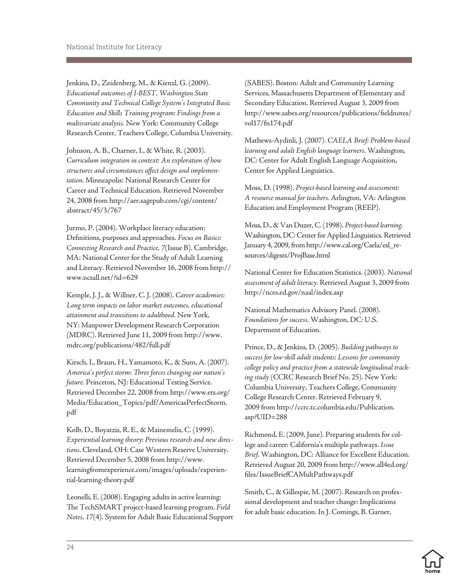Jenkins, D., Zeidenberg, M., & Kienzl, G. (2009). *Educational outcomes of I-BEST, Washington State Community and Technical College System's Integrated Basic Education and Skills Training program: Findings from a multivariate analysis.* New York: Community College Research Center, Teachers College, Columbia University.

Johnson, A. B., Charner, I., & White, R. (2003). *Curriculum integration in context: An exploration of how structures and circumstances affect design and implementation.* Minneapolis: National Research Center for Career and Technical Education. Retrieved November 24, 2008 from http://aer.sagepub.com/cgi/content/ abstract/45/3/767

Jurmo, P. (2004). Workplace literacy education: Definitions, purposes and approaches. *Focus on Basics: Connecting Research and Practice, 7*(Issue B). Cambridge, MA: National Center for the Study of Adult Learning and Literacy. Retrieved November 16, 2008 from http:// www.ncsall.net/?id=629

Kemple, J. J., & Willner, C. J. (2008). *Career academies: Long term impacts on labor market outcomes, educational attainment and transitions to adulthood.* New York, NY: Manpower Development Research Corporation (MDRC). Retrieved June 11, 2009 from http://www. mdrc.org/publications/482/full.pdf

Kirsch, I., Braun, H., Yamamoto, K., & Sum, A. (2007). *America's perfect storm: Three forces changing our nation's future.* Princeton, NJ: Educational Testing Service. Retrieved December 22, 2008 from http://www.ets.org/ Media/Education\_Topics/pdf/AmericasPerfectStorm. pdf

Kolb, D., Boyatzis, R. E., & Mainemelis, C. (1999). *Experiential learning theory: Previous research and new directions*. Cleveland, OH: Case Western Reserve University. Retrieved December 5, 2008 from http://www. learningfromexperience.com/images/uploads/experiential-learning-theory.pdf

Leonelli, E. (2008). Engaging adults in active learning: The TechSMART project-based learning program. *Field Notes, 17*(4). System for Adult Basic Educational Support (SABES). Boston: Adult and Community Learning Services, Massachusetts Department of Elementary and Secondary Education. Retrieved August 3, 2009 from http://www.sabes.org/resources/publications/fieldnotes/ vol17/fn174.pdf

Mathews-Aydinli, J. (2007). *CAELA Brief: Problem-based learning and adult English language learners*. Washington, DC: Center for Adult English Language Acquisition, Center for Applied Linguistics.

Moss, D. (1998). *Project-based learning and assessment: A resource manual for teachers.* Arlington, VA: Arlington Education and Employment Program (REEP).

Moss, D., & Van Duzer, C. (1998). *Project-based learning*. Washington, DC: Center for Applied Linguistics. Retrieved January 4, 2009, from http://www.cal.org/Caela/esl\_resources/digests/ProjBase.html

National Center for Education Statistics. (2003). *National assessment of adult literacy.* Retrieved August 3, 2009 from http://nces.ed.gov/naal/index.asp

National Mathematics Advisory Panel. (2008). *Foundations for success.* Washington, DC: U.S. Department of Education.

Prince, D., & Jenkins, D. (2005). *Building pathways to success for low-skill adult students: Lessons for community college policy and practice from a statewide longitudinal tracking study* (CCRC Research Brief No. 25). New York: Columbia University, Teachers College, Community College Research Center. Retrieved February 9, 2009 from http://ccrc.tc.columbia.edu/Publication. asp?UID=288

Richmond, E. (2009, June). Preparing students for college and career: California's multiple pathways. *Issue Brief*. Washington, DC: Alliance for Excellent Education. Retrieved August 20, 2009 from http://www.all4ed.org/ files/IssueBriefCAMultPathways.pdf

Smith, C., & Gillespie, M. (2007). Research on professional development and teacher change: Implications for adult basic education*.* In J. Comings, B. Garner,